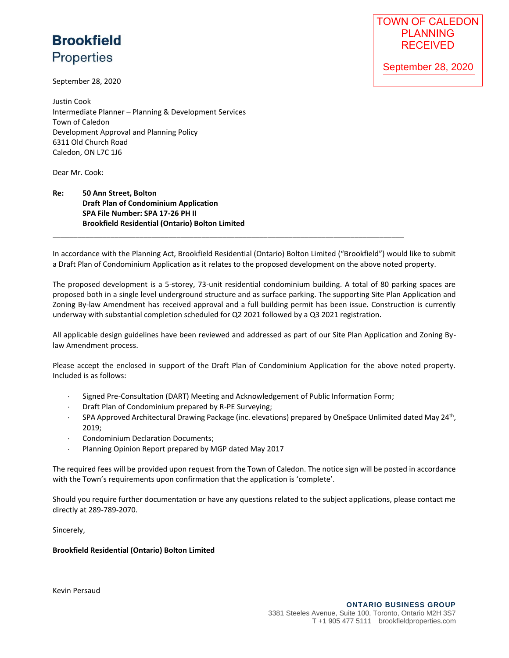## **Brookfield Properties**

September 28, 2020

Justin Cook Intermediate Planner – Planning & Development Services Town of Caledon Development Approval and Planning Policy 6311 Old Church Road Caledon, ON L7C 1J6

Dear Mr. Cook:

## **Re: 50 Ann Street, Bolton Draft Plan of Condominium Application SPA File Number: SPA 17-26 PH II Brookfield Residential (Ontario) Bolton Limited**

In accordance with the Planning Act, Brookfield Residential (Ontario) Bolton Limited ("Brookfield") would like to submit a Draft Plan of Condominium Application as it relates to the proposed development on the above noted property.

\_\_\_\_\_\_\_\_\_\_\_\_\_\_\_\_\_\_\_\_\_\_\_\_\_\_\_\_\_\_\_\_\_\_\_\_\_\_\_\_\_\_\_\_\_\_\_\_\_\_\_\_\_\_\_\_\_\_\_\_\_\_\_\_\_\_\_\_\_\_\_\_\_\_\_\_\_\_\_\_\_\_\_\_\_

The proposed development is a 5-storey, 73-unit residential condominium building. A total of 80 parking spaces are proposed both in a single level underground structure and as surface parking. The supporting Site Plan Application and Zoning By-law Amendment has received approval and a full building permit has been issue. Construction is currently underway with substantial completion scheduled for Q2 2021 followed by a Q3 2021 registration.

All applicable design guidelines have been reviewed and addressed as part of our Site Plan Application and Zoning Bylaw Amendment process.

Please accept the enclosed in support of the Draft Plan of Condominium Application for the above noted property. Included is as follows:

- $\cdot$  Signed Pre-Consultation (DART) Meeting and Acknowledgement of Public Information Form;
- Draft Plan of Condominium prepared by R-PE Surveying;
- SPA Approved Architectural Drawing Package (inc. elevations) prepared by OneSpace Unlimited dated May 24<sup>th</sup>, 2019;
- Condominium Declaration Documents;
- Planning Opinion Report prepared by MGP dated May 2017

The required fees will be provided upon request from the Town of Caledon. The notice sign will be posted in accordance with the Town's requirements upon confirmation that the application is 'complete'.

Should you require further documentation or have any questions related to the subject applications, please contact me directly at 289-789-2070.

Sincerely,

## **Brookfield Residential (Ontario) Bolton Limited**

Kevin Persaud

September 28, 2020